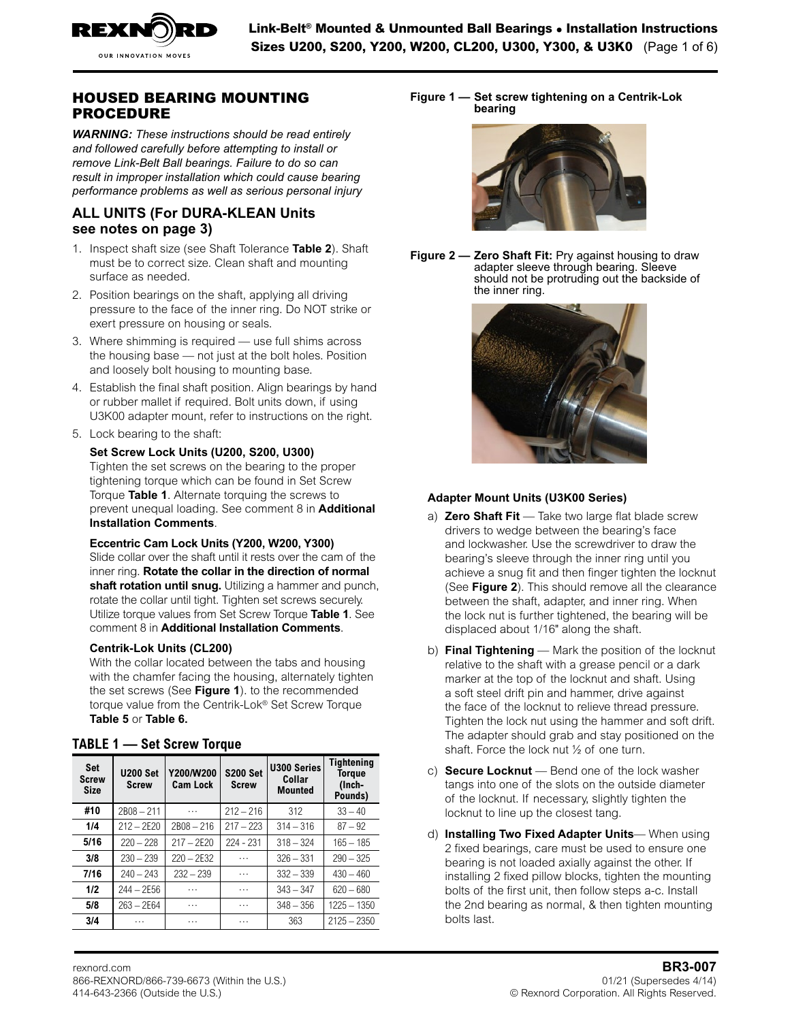

## HOUSED BEARING MOUNTING PROCEDURE

*WARNING: These instructions should be read entirely and followed carefully before attempting to install or remove Link-Belt Ball bearings. Failure to do so can result in improper installation which could cause bearing performance problems as well as serious personal injury*

### <span id="page-0-0"></span>**ALL UNITS (For [DURA-KLEAN Units](#page-2-0)  see notes on page 3)**

- 1. Inspect shaft size (see Shaft Tolerance **[Table 2](#page-1-0)**). Shaft must be to correct size. Clean shaft and mounting surface as needed.
- 2. Position bearings on the shaft, applying all driving pressure to the face of the inner ring. Do NOT strike or exert pressure on housing or seals.
- 3. Where shimming is required use full shims across the housing base — not just at the bolt holes. Position and loosely bolt housing to mounting base.
- 4. Establish the final shaft position. Align bearings by hand or rubber mallet if required. Bolt units down, if using U3K00 adapter mount, refer to instructions on the right.
- 5. Lock bearing to the shaft:

**Set Screw Lock Units (U200, S200, U300)** Tighten the set screws on the bearing to the proper tightening torque which can be found in Set Screw Torque **Table 1**. Alternate torquing the screws to prevent unequal loading. See comment 8 in **[Additional](#page-1-1)  [Installation Comments](#page-1-1)**.

**Eccentric Cam Lock Units (Y200, W200, Y300)** Slide collar over the shaft until it rests over the cam of the inner ring. **Rotate the collar in the direction of normal shaft rotation until snug.** Utilizing a hammer and punch, rotate the collar until tight. Tighten set screws securely. Utilize torque values from Set Screw Torque **Table 1**. See comment 8 in **[Additional Installation Comments](#page-1-1)**.

### **Centrik-Lok Units (CL200)**

With the collar located between the tabs and housing with the chamfer facing the housing, alternately tighten the set screws (See **Figure 1**). to the recommended torque value from the Centrik-Lok® Set Screw Torque **[Table 5](#page-2-1)** or **[Table 6](#page-2-2).**

### **TABLE 1 — Set Screw Torque**

| <b>Set</b><br><b>Screw</b><br><b>Size</b> | <b>U200 Set</b><br><b>Screw</b> | Y200/W200<br><b>Cam Lock</b> | <b>S200 Set</b><br><b>Screw</b> | <b>U300 Series</b><br>Collar<br><b>Mounted</b> | <b>Tightening</b><br><b>Torgue</b><br>(Inch-<br>Pounds) |
|-------------------------------------------|---------------------------------|------------------------------|---------------------------------|------------------------------------------------|---------------------------------------------------------|
| #10                                       | $2B08 - 211$                    | $\cdots$                     | $212 - 216$                     | 312                                            | $33 - 40$                                               |
| 1/4                                       | $212 - 2E20$                    | $2B08 - 216$                 | $217 - 223$                     | $314 - 316$                                    | $87 - 92$                                               |
| 5/16                                      | $220 - 228$                     | $217 - 2E20$                 | $224 - 231$                     | $318 - 324$                                    | $165 - 185$                                             |
| 3/8                                       | $230 - 239$                     | $220 - 2E32$                 | .                               | $326 - 331$                                    | $290 - 325$                                             |
| 7/16                                      | $240 - 243$                     | $232 - 239$                  | .                               | $332 - 339$                                    | $430 - 460$                                             |
| 1/2                                       | $244 - 2E56$                    | .                            | .                               | $343 - 347$                                    | $620 - 680$                                             |
| 5/8                                       | $263 - 2E64$                    | .                            | .                               | $348 - 356$                                    | $1225 - 1350$                                           |
| 3/4                                       | .                               | .                            | .                               | 363                                            | $2125 - 2350$                                           |

Figure 1 — Set screw tightening on a Centrik-Lok<br>bearing **bearing**

bearings, care must be used to ensure one bearing is not loaded



**Figure 2 — Zero Shaft Fit:** Pry against housing to draw adapter sleeve through bearing. Sleeve should not be protruding out the backside of the inner ring.



### **Adapter Mount Units (U3K00 Series)**

- a) **Zero Shaft Fit** Take two large flat blade screw drivers to wedge between the bearing's face and lockwasher. Use the screwdriver to draw the bearing's sleeve through the inner ring until you achieve a snug fit and then finger tighten the locknut (See **Figure 2**). This should remove all the clearance between the shaft, adapter, and inner ring. When the lock nut is further tightened, the bearing will be displaced about 1/16" along the shaft.
- b) **Final Tightening**  Mark the position of the locknut relative to the shaft with a grease pencil or a dark marker at the top of the locknut and shaft. Using a soft steel drift pin and hammer, drive against the face of the locknut to relieve thread pressure. Tighten the lock nut using the hammer and soft drift. The adapter should grab and stay positioned on the shaft. Force the lock nut ½ of one turn.
- c) **Secure Locknut**  Bend one of the lock washer tangs into one of the slots on the outside diameter of the locknut. If necessary, slightly tighten the locknut to line up the closest tang.
- d) **Installing Two Fixed Adapter Units** When using 2 fixed bearings, care must be used to ensure one bearing is not loaded axially against the other. If installing 2 fixed pillow blocks, tighten the mounting bolts of the first unit, then follow steps a-c. Install the 2nd bearing as normal, & then tighten mounting bolts last.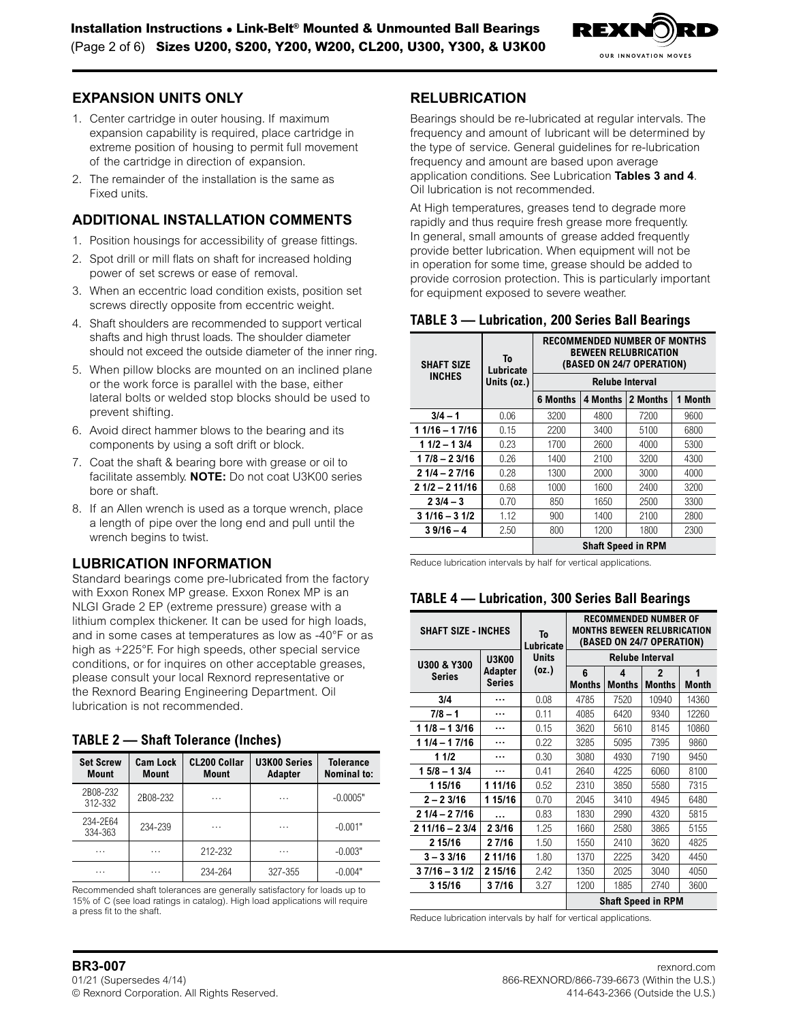

### **EXPANSION UNITS ONLY**

- 1. Center cartridge in outer housing. If maximum expansion capability is required, place cartridge in extreme position of housing to permit full movement of the cartridge in direction of expansion.
- 2. The remainder of the installation is the same as Fixed units.

### <span id="page-1-1"></span>**ADDITIONAL INSTALLATION COMMENTS**

- 1. Position housings for accessibility of grease fittings.
- 2. Spot drill or mill flats on shaft for increased holding power of set screws or ease of removal.
- 3. When an eccentric load condition exists, position set screws directly opposite from eccentric weight.
- 4. Shaft shoulders are recommended to support vertical shafts and high thrust loads. The shoulder diameter should not exceed the outside diameter of the inner ring.
- 5. When pillow blocks are mounted on an inclined plane or the work force is parallel with the base, either lateral bolts or welded stop blocks should be used to prevent shifting.
- 6. Avoid direct hammer blows to the bearing and its components by using a soft drift or block.
- 7. Coat the shaft & bearing bore with grease or oil to facilitate assembly. **NOTE:** Do not coat U3K00 series bore or shaft.
- 8. If an Allen wrench is used as a torque wrench, place a length of pipe over the long end and pull until the wrench begins to twist.

## **LUBRICATION INFORMATION**

Standard bearings come pre-lubricated from the factory with Exxon Ronex MP grease. Exxon Ronex MP is an NLGI Grade 2 EP (extreme pressure) grease with a lithium complex thickener. It can be used for high loads, and in some cases at temperatures as low as -40°F or as high as +225°F. For high speeds, other special service conditions, or for inquires on other acceptable greases, please consult your local Rexnord representative or the Rexnord Bearing Engineering Department. Oil lubrication is not recommended.

### <span id="page-1-0"></span>**TABLE 2 — Shaft Tolerance (Inches)**

| <b>Set Screw</b><br><b>Mount</b> | <b>Cam Lock</b><br><b>Mount</b> | <b>CL200 Collar</b><br><b>Mount</b> | <b>U3K00 Series</b><br><b>Adapter</b> | <b>Tolerance</b><br><b>Nominal to:</b> |
|----------------------------------|---------------------------------|-------------------------------------|---------------------------------------|----------------------------------------|
| 2B08-232<br>312-332              | 2B08-232                        | .                                   | .                                     | $-0.0005"$                             |
| 234-2E64<br>334-363              | 234-239                         | .                                   | .                                     | $-0.001"$                              |
| .                                | .                               | 212-232                             | .                                     | $-0.003"$                              |
| .                                | .                               | 234-264                             | 327-355                               | $-0.004"$                              |

Recommended shaft tolerances are generally satisfactory for loads up to 15% of C (see load ratings in catalog). High load applications will require a press fit to the shaft.

### **RELUBRICATION**

Bearings should be re-lubricated at regular intervals. The frequency and amount of lubricant will be determined by the type of service. General guidelines for re-lubrication frequency and amount are based upon average application conditions. See Lubrication **Tables 3 and 4**. Oil lubrication is not recommended.

At High temperatures, greases tend to degrade more rapidly and thus require fresh grease more frequently. In general, small amounts of grease added frequently provide better lubrication. When equipment will not be in operation for some time, grease should be added to provide corrosion protection. This is particularly important for equipment exposed to severe weather.

### <span id="page-1-2"></span>**TABLE 3 — Lubrication, 200 Series Ball Bearings**

| <b>SHAFT SIZE</b> | To<br>Lubricate | <b>RECOMMENDED NUMBER OF MONTHS</b><br><b>BEWEEN RELUBRICATION</b><br>(BASED ON 24/7 OPERATION) |                           |          |                   |  |  |  |
|-------------------|-----------------|-------------------------------------------------------------------------------------------------|---------------------------|----------|-------------------|--|--|--|
| <b>INCHES</b>     | Units (oz.)     | <b>Relube Interval</b>                                                                          |                           |          |                   |  |  |  |
|                   |                 | <b>6 Months</b>                                                                                 | 4 Months                  | 2 Months | <b>Month</b><br>1 |  |  |  |
| $3/4 - 1$         | 0.06            | 3200                                                                                            | 4800                      | 7200     | 9600              |  |  |  |
| $11/16 - 17/16$   | 0.15            | 2200                                                                                            | 3400                      | 5100     | 6800              |  |  |  |
| $11/2 - 13/4$     | 0.23            | 1700                                                                                            | 2600                      | 4000     | 5300              |  |  |  |
| $17/8 - 23/16$    | 0.26            | 1400                                                                                            | 2100                      | 3200     | 4300              |  |  |  |
| $21/4 - 27/16$    | 0.28            | 1300                                                                                            | 2000                      | 3000     | 4000              |  |  |  |
| $21/2 - 211/16$   | 0.68            | 1000                                                                                            | 1600                      | 2400     | 3200              |  |  |  |
| $23/4 - 3$        | 0.70            | 850                                                                                             | 1650                      | 2500     | 3300              |  |  |  |
| $31/16 - 31/2$    | 1.12            | 900                                                                                             | 1400                      | 2100     | 2800              |  |  |  |
| $39/16 - 4$       | 2.50            | 800                                                                                             | 1200                      | 1800     | 2300              |  |  |  |
|                   |                 |                                                                                                 | <b>Shaft Speed in RPM</b> |          |                   |  |  |  |

Reduce lubrication intervals by half for vertical applications.

### **TABLE 4 — Lubrication, 300 Series Ball Bearings**

| <b>SHAFT SIZE - INCHES</b> | To<br>Lubricate                 | RECOMMENDED NUMBER OF<br><b>MONTHS BEWEEN RELUBRICATION</b><br>(BASED ON 24/7 OPERATION) |             |                        |                               |                   |  |  |
|----------------------------|---------------------------------|------------------------------------------------------------------------------------------|-------------|------------------------|-------------------------------|-------------------|--|--|
| <b>U300 &amp; Y300</b>     | <b>U3K00</b>                    | <b>Units</b>                                                                             |             | <b>Relube Interval</b> |                               |                   |  |  |
| Series                     | <b>Adapter</b><br><b>Series</b> | (oz.)                                                                                    | 6<br>Months | 4<br><b>Months</b>     | $\mathbf{2}$<br><b>Months</b> | 1<br><b>Month</b> |  |  |
| 3/4                        |                                 | 0.08                                                                                     | 4785        | 7520                   | 10940                         | 14360             |  |  |
| $7/8 - 1$                  |                                 | 0.11                                                                                     | 4085        | 6420                   | 9340                          | 12260             |  |  |
| $11/8 - 13/16$             |                                 |                                                                                          | 3620        | 5610                   | 8145                          | 10860             |  |  |
| $11/4 - 17/16$<br>         |                                 | 0.22                                                                                     | 3285        | 5095                   | 7395                          | 9860              |  |  |
| 11/2                       |                                 |                                                                                          | 3080        | 4930                   | 7190                          | 9450              |  |  |
| $15/8 - 13/4$              |                                 | 0.41                                                                                     | 2640        | 4225                   | 6060                          | 8100              |  |  |
| 1 15/16                    | 1 11/16                         | 0.52                                                                                     | 2310        | 3850                   | 5580                          | 7315              |  |  |
| $2 - 23/16$                | 1 15/16                         | 0.70                                                                                     | 2045        | 3410                   | 4945                          | 6480              |  |  |
| $21/4 - 27/16$             | .                               | 0.83                                                                                     | 1830        | 2990                   | 4320                          | 5815              |  |  |
| $2 11/16 - 2 3/4$          | 2 3/16                          | 1.25                                                                                     | 1660        | 2580                   | 3865                          | 5155              |  |  |
| 2 15/16                    | 27/16                           | 1.50                                                                                     | 1550        | 2410                   | 3620                          | 4825              |  |  |
| $3 - 33/16$                | 2 11/16                         | 1.80                                                                                     | 1370        | 2225                   | 3420                          | 4450              |  |  |
| $37/16 - 31/2$             | 2 15/16                         | 2.42                                                                                     | 1350        | 2025                   | 3040                          | 4050              |  |  |
| 37/16<br>3 15/16           |                                 | 3.27                                                                                     | 1200        | 1885                   | 2740                          | 3600              |  |  |
|                            |                                 |                                                                                          |             |                        | <b>Shaft Speed in RPM</b>     |                   |  |  |

Reduce lubrication intervals by half for vertical applications.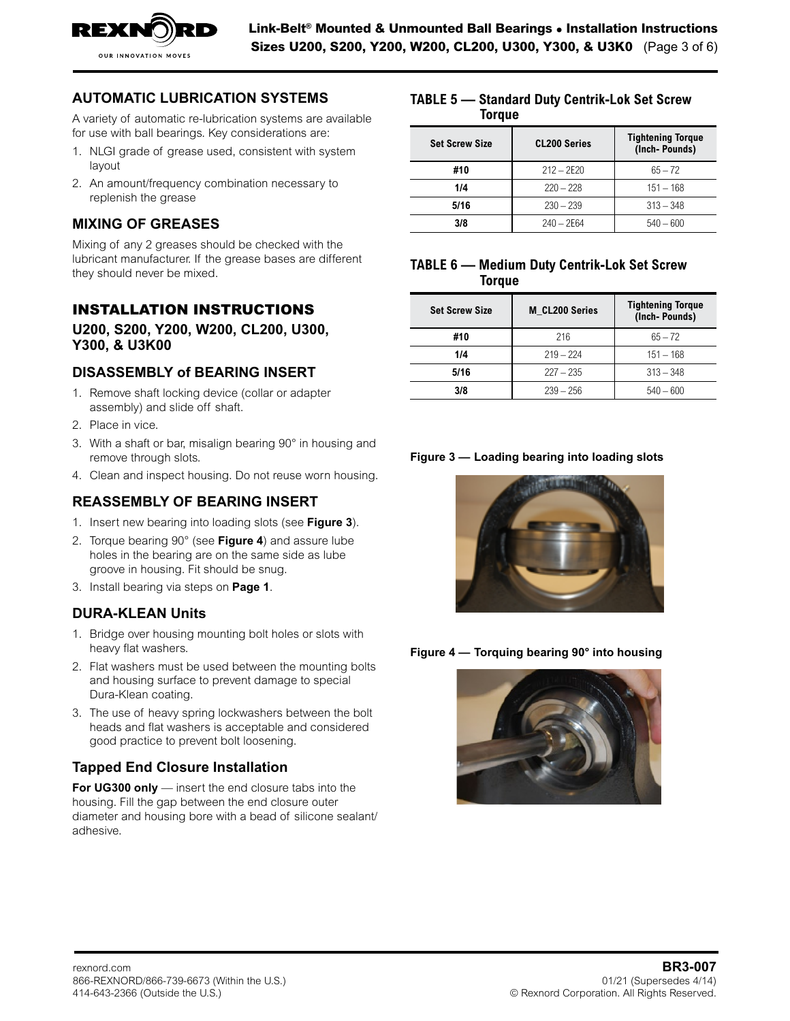

#### **AUTOMATIC LUBRICATION SYSTEMS** TABLE 5 5 – 3 IOMATIC LUBRICATION STSTEMS TREES – 3

A variety of automatic re-lubrication systems are available  $\qquad \qquad \blacksquare$ for use with ball bearings. Key considerations are:

7/16 240 – 243 232 – 239 …… 332 – 339 430 – 460

- 1. NLGI grade of grease used, consistent with system layout
- 2. An amount/frequency combination necessary to **Mount** replenish the grease and the state of the state of the state of the state of the state of the state of the state of the state of the state of the state of the state of the state of the state of the state of the state of th . Anann

# **MIXING OF GREASES**

Mixing of any 2 greases should be checked with the lubricant manufacturer. If the grease bases are different  $\mathbf{r}_h$ they should never be mixed.  $mg$  or any  $\angle$  greases should be criecked with the

#### **INSTALLATION INSTRUCTIONS** Set Screw **To Lubricate (BASED ON 24/7 OPERATION)**

#### **U200, S200, Y200, W200, CL200, U300, INCHES Units (oz.) Relube Interval Y300, & U3K00** 3/4 – 1 0.06 3200 4800 7200 9600 **6 Months 4 Months 2 Months 1 Month**

# DISASSEMBLY of BEARING INSERT

- 1. Remove shaft locking device (collar or adapter assembly) and slide off shaft.
- 2. Place in vice.
- nd the state in the controller the state in the state in the state.<br>3. With a shaft or bar, misalign bearing 90° in housing and **Lubration Exercise Series Ball Bearing Series Ball Bearing Series Ball Bearings**
- **A.** Clean and inspect housing. Do not reuse worn housing.

# $\blacksquare$ **NONTHS**  $\blacksquare$  **DEARING** INSERT

- 1. Insert new bearing into loading slots (see Figure 3).
- 2. Torque bearing 90° (see Figure 4) and assure lube holes in the bearing are on the same side as lube groove in housing. Fit should be snug.
- 3. Install bearing via steps on [Page 1](#page-0-0).

# <span id="page-2-0"></span>**DURA-KLEAN Units**

- 1. Bridge over housing mounting bolt holes or slots with heavy flat washers. Shaft Speed in RPM
- 2. Flat washers must be used between the mounting bolts and housing surface to prevent damage to special Dura-Klean coating.
- 3. The use of heavy spring lockwashers between the bolt heads and flat washers is acceptable and considered good practice to prevent bolt loosening.

## **Tapped End Closure Installation**

**For UG300 only** — insert the end closure tabs into the housing. Fill the gap between the end closure outer diameter and housing bore with a bead of silicone sealant/<br>adhosive adhesive.  $B_0$  and  $B_1$  and  $B_2$  are  $\overline{B_2}$  and  $\overline{B_3}$  email:  $\overline{B_4}$ 

#### <span id="page-2-1"></span>TABLE 5 - Standard Duty Centrik-Lok Set Screw **Torque**  $3/8$  2E64 540  $-$  2E64 540  $-$  600  $-$  600  $-$  600  $-$  600  $-$  600  $-$  600  $-$  600  $-$  600  $-$  600  $-$  600  $-$  600  $-$  600  $-$  600  $-$  600  $-$  600  $-$  600  $-$  600  $-$  600  $-$  600  $-$  600  $-$  600  $-$  600  $-$  600  $-$  600

#10 212 – 2E20 65 – 72

| <b>Set Screw Size</b> | <b>CL200 Series</b> | <b>Tightening Torque</b><br>(Inch-Pounds) |
|-----------------------|---------------------|-------------------------------------------|
| #10                   | $212 - 2E20$        | $65 - 72$                                 |
| 1/4                   | $220 - 228$         | $151 - 168$                               |
| 5/16                  | $230 - 239$         | $313 - 348$                               |
| 3/8                   | $240 - 2E64$        | $540 - 600$                               |

#### <span id="page-2-2"></span>**TABLE 6 — Medium Duty Centrik-Lok Set Screw Torque** U. Remove shares and the collar order

| <b>Set Screw Size</b> | M CL200 Series | <b>Tightening Torque</b><br>(Inch-Pounds) |
|-----------------------|----------------|-------------------------------------------|
| #10                   | 216            | $65 - 72$                                 |
| 1/4                   | $219 - 224$    | $151 - 168$                               |
| 5/16                  | $227 - 235$    | $313 - 348$                               |
| 3/8                   | $239 - 256$    | $540 - 600$                               |
|                       |                |                                           |

### Figure 3 — Loading bearing into loading slots



Figure 4 — Torquing bearing 90° into housing earing <del>a</del>o muo

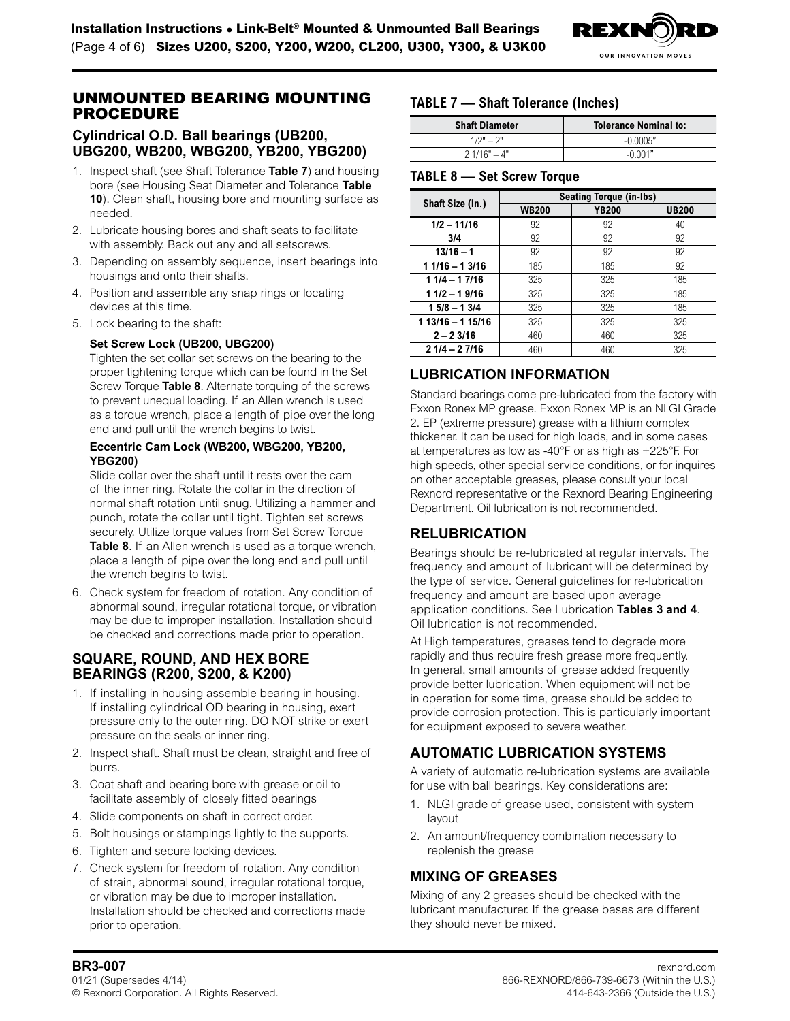

# UNMOUNTED BEARING MOUNTING PROCEDURE

### **Cylindrical O.D. Ball bearings (UB200, UBG200, WB200, WBG200, YB200, YBG200)**

- 1. Inspect shaft (see Shaft Tolerance **Table 7**) and housing bore (see Housing Seat Diameter and Tolerance **[Table](#page-4-0)  [10](#page-4-0)**). Clean shaft, housing bore and mounting surface as needed.
- 2. Lubricate housing bores and shaft seats to facilitate with assembly. Back out any and all setscrews.
- 3. Depending on assembly sequence, insert bearings into housings and onto their shafts.
- 4. Position and assemble any snap rings or locating devices at this time.
- 5. Lock bearing to the shaft:

### **Set Screw Lock (UB200, UBG200)**

Tighten the set collar set screws on the bearing to the proper tightening torque which can be found in the Set Screw Torque **Table 8**. Alternate torquing of the screws to prevent unequal loading. If an Allen wrench is used as a torque wrench, place a length of pipe over the long end and pull until the wrench begins to twist.

### **Eccentric Cam Lock (WB200, WBG200, YB200, YBG200)**

Slide collar over the shaft until it rests over the cam of the inner ring. Rotate the collar in the direction of normal shaft rotation until snug. Utilizing a hammer and punch, rotate the collar until tight. Tighten set screws securely. Utilize torque values from Set Screw Torque **Table 8**. If an Allen wrench is used as a torque wrench, place a length of pipe over the long end and pull until the wrench begins to twist.

6. Check system for freedom of rotation. Any condition of abnormal sound, irregular rotational torque, or vibration may be due to improper installation. Installation should be checked and corrections made prior to operation.

# **SQUARE, ROUND, AND HEX BORE BEARINGS (R200, S200, & K200)**

- 1. If installing in housing assemble bearing in housing. If installing cylindrical OD bearing in housing, exert pressure only to the outer ring. DO NOT strike or exert pressure on the seals or inner ring.
- 2. Inspect shaft. Shaft must be clean, straight and free of burrs.
- 3. Coat shaft and bearing bore with grease or oil to facilitate assembly of closely fitted bearings
- 4. Slide components on shaft in correct order.
- 5. Bolt housings or stampings lightly to the supports.
- 6. Tighten and secure locking devices.
- 7. Check system for freedom of rotation. Any condition of strain, abnormal sound, irregular rotational torque, or vibration may be due to improper installation. Installation should be checked and corrections made prior to operation.

# **TABLE 7 — Shaft Tolerance (Inches)**

| <b>Shaft Diameter</b> | <b>Tolerance Nominal to:</b> |  |  |  |  |
|-----------------------|------------------------------|--|--|--|--|
| $1/2" - 2"$           | $-0.0005"$                   |  |  |  |  |
| $21/16" - 4"$         | $-0.001"$                    |  |  |  |  |

### **TABLE 8 — Set Screw Torque**

|                   | <b>Seating Torque (in-Ibs)</b> |              |              |  |  |  |  |  |  |
|-------------------|--------------------------------|--------------|--------------|--|--|--|--|--|--|
| Shaft Size (In.)  | <b>WB200</b>                   | <b>YB200</b> | <b>UB200</b> |  |  |  |  |  |  |
| $1/2 - 11/16$     | 92                             | 92           | 40           |  |  |  |  |  |  |
| 3/4               | 92                             | 92           | 92           |  |  |  |  |  |  |
| $13/16 - 1$       | 92                             | 92           | 92           |  |  |  |  |  |  |
| $11/16 - 13/16$   | 185                            | 185          | 92           |  |  |  |  |  |  |
| $11/4 - 17/16$    | 325                            | 325          | 185          |  |  |  |  |  |  |
| $11/2 - 19/16$    | 325                            | 325          | 185          |  |  |  |  |  |  |
| $15/8 - 13/4$     | 325                            | 325          | 185          |  |  |  |  |  |  |
| $113/16 - 115/16$ | 325                            | 325          | 325          |  |  |  |  |  |  |
| $2 - 23/16$       | 460                            | 460          | 325          |  |  |  |  |  |  |
| $21/4 - 27/16$    | 460                            | 460          | 325          |  |  |  |  |  |  |

# **LUBRICATION INFORMATION**

Standard bearings come pre-lubricated from the factory with Exxon Ronex MP grease. Exxon Ronex MP is an NLGI Grade 2. EP (extreme pressure) grease with a lithium complex thickener. It can be used for high loads, and in some cases at temperatures as low as -40°F or as high as +225°F. For high speeds, other special service conditions, or for inquires on other acceptable greases, please consult your local Rexnord representative or the Rexnord Bearing Engineering Department. Oil lubrication is not recommended.

# **RELUBRICATION**

Bearings should be re-lubricated at regular intervals. The frequency and amount of lubricant will be determined by the type of service. General guidelines for re-lubrication frequency and amount are based upon average application conditions. See Lubrication **[Tables 3 and 4](#page-1-2)**. Oil lubrication is not recommended.

At High temperatures, greases tend to degrade more rapidly and thus require fresh grease more frequently. In general, small amounts of grease added frequently provide better lubrication. When equipment will not be in operation for some time, grease should be added to provide corrosion protection. This is particularly important for equipment exposed to severe weather.

# **AUTOMATIC LUBRICATION SYSTEMS**

A variety of automatic re-lubrication systems are available for use with ball bearings. Key considerations are:

- 1. NLGI grade of grease used, consistent with system layout
- 2. An amount/frequency combination necessary to replenish the grease

## **MIXING OF GREASES**

Mixing of any 2 greases should be checked with the lubricant manufacturer. If the grease bases are different they should never be mixed.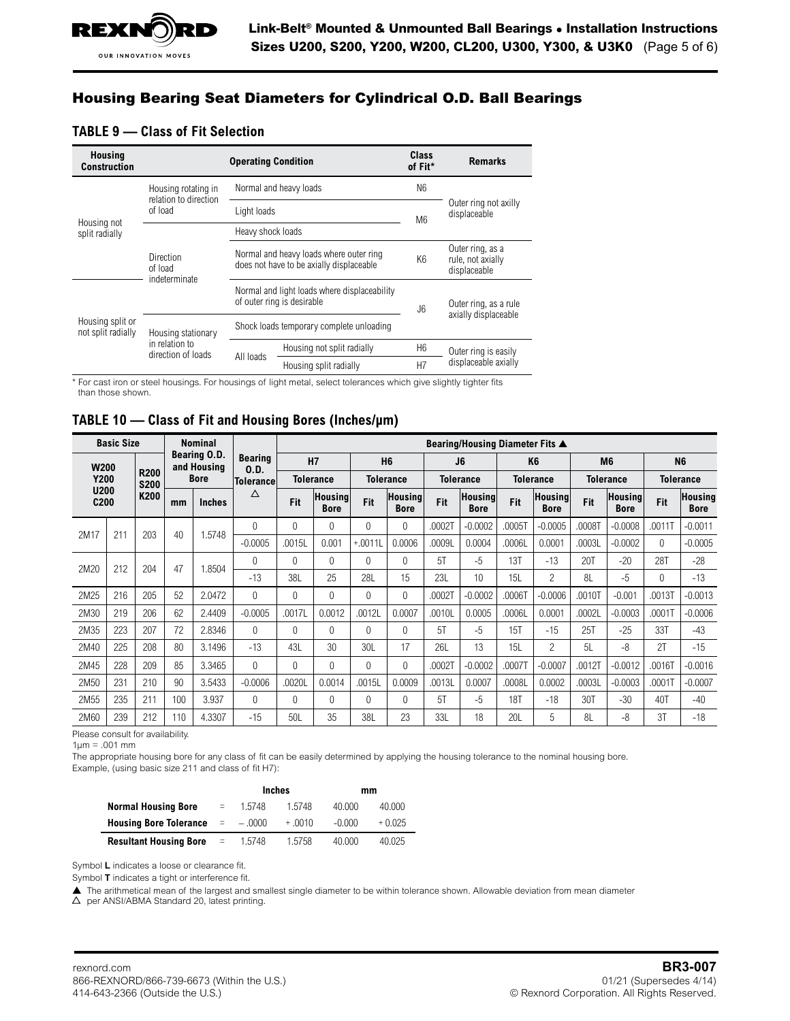# Housing Bearing Seat Diameters for Cylindrical O.D. Ball Bearings

### **TABLE 9 — Class of Fit Selection**

| <b>Housing</b><br><b>Construction</b>  |                                              | <b>Operating Condition</b>               | Class<br>of Fit*                                                                    | <b>Remarks</b>                         |                                                       |  |
|----------------------------------------|----------------------------------------------|------------------------------------------|-------------------------------------------------------------------------------------|----------------------------------------|-------------------------------------------------------|--|
| Housing not<br>split radially          | Housing rotating in<br>relation to direction |                                          | Normal and heavy loads                                                              | N <sub>6</sub>                         |                                                       |  |
|                                        | of load                                      | Light loads                              |                                                                                     | M <sub>6</sub>                         | Outer ring not axilly<br>displaceable                 |  |
|                                        | Heavy shock loads                            |                                          |                                                                                     |                                        |                                                       |  |
|                                        | Direction<br>of load                         |                                          | Normal and heavy loads where outer ring<br>does not have to be axially displaceable | K <sub>6</sub>                         | Outer ring, as a<br>rule, not axially<br>displaceable |  |
| Housing split or<br>not split radially | indeterminate                                |                                          | Normal and light loads where displaceability<br>of outer ring is desirable          | J6                                     | Outer ring, as a rule                                 |  |
|                                        | Housing stationary                           | Shock loads temporary complete unloading |                                                                                     |                                        | axially displaceable                                  |  |
|                                        | in relation to<br>direction of loads         | All loads                                | Housing not split radially                                                          | H <sub>6</sub><br>Outer ring is easily |                                                       |  |
|                                        |                                              |                                          | Housing split radially                                                              | H7                                     | displaceable axially                                  |  |

\* For cast iron or steel housings. For housings of light metal, select tolerances which give slightly tighter fits than those shown.

### <span id="page-4-0"></span>**TABLE 10 — Class of Fit and Housing Bores (Inches/µm)**

| <b>Basic Size</b>               |     |                            |     | <b>Nominal</b>                                |                          |          | Bearing/Housing Diameter Fits ▲ |          |                                  |            |                        |                  |                        |                  |                               |                  |                               |                |        |           |   |           |
|---------------------------------|-----|----------------------------|-----|-----------------------------------------------|--------------------------|----------|---------------------------------|----------|----------------------------------|------------|------------------------|------------------|------------------------|------------------|-------------------------------|------------------|-------------------------------|----------------|--------|-----------|---|-----------|
| <b>W200</b>                     |     |                            |     | Bearing O.D.<br><b>Bearing</b><br>and Housing |                          |          | <b>H7</b>                       |          | H <sub>6</sub><br>J <sub>6</sub> |            | K <sub>6</sub>         |                  |                        | M <sub>6</sub>   | <b>N6</b>                     |                  |                               |                |        |           |   |           |
| <b>Y200</b>                     |     | <b>R200</b><br><b>S200</b> |     | <b>Bore</b>                                   | 0.D.<br><b>Tolerance</b> |          | <b>Tolerance</b>                |          | <b>Tolerance</b>                 |            | <b>Tolerance</b>       | <b>Tolerance</b> |                        | <b>Tolerance</b> |                               | <b>Tolerance</b> |                               |                |        |           |   |           |
| <b>U200</b><br>C <sub>200</sub> |     | K200                       | mm  | <b>Inches</b>                                 | Δ                        | Fit      | Housing<br><b>Bore</b>          | Fit      | Housing<br><b>Bore</b>           | Fit        | Housing<br><b>Bore</b> | Fit              | Housing<br><b>Bore</b> | Fit              | <b>Housing</b><br><b>Bore</b> | Fit              | <b>Housing</b><br><b>Bore</b> |                |        |           |   |           |
| 2M17                            | 211 | 203                        | 40  | 1.5748                                        | $\Omega$                 | $\Omega$ | 0                               | 0        | 0                                | .00021     | $-0.0002$              | .0005T           | $-0.0005$              | .0008T           | $-0.0008$                     | .0011T           | $-0.0011$                     |                |        |           |   |           |
|                                 |     |                            |     |                                               |                          |          |                                 |          |                                  | $-0.0005$  | .0015L                 | 0.001            | $+.0011L$              | 0.0006           | .0009L                        | 0.0004           | .0006L                        | 0.0001         | .0003L | $-0.0002$ | 0 | $-0.0005$ |
| 2M20                            | 212 | 204                        | 47  | 1.8504                                        | 0                        | $\Omega$ | 0                               | 0        | 0                                | 5T         | $-5$                   | 13T              | $-13$                  | 20T              | $-20$                         | 28T              | $-28$                         |                |        |           |   |           |
|                                 |     |                            |     |                                               |                          |          |                                 |          |                                  | $-13$      | 38L                    | 25               | 28L                    | 15               | 23L                           | 10               | 15L                           | $\overline{c}$ | 8L     | $-5$      | 0 | $-13$     |
| 2M25                            | 216 | 205                        | 52  | 2.0472                                        | 0                        | $\Omega$ | 0                               | 0        | $\mathbf 0$                      | .00021     | $-0.0002$              | .0006T           | $-0.0006$              | .0010T           | $-0.001$                      | .0013T           | $-0.0013$                     |                |        |           |   |           |
| 2M30                            | 219 | 206                        | 62  | 2.4409                                        | $-0.0005$                | .0017L   | 0.0012                          | .0012L   | 0.0007                           | .0010L     | 0.0005                 | .0006L           | 0.0001                 | .0002L           | $-0.0003$                     | .0001T           | $-0.0006$                     |                |        |           |   |           |
| 2M35                            | 223 | 207                        | 72  | 2.8346                                        | $\Omega$                 | $\Omega$ | 0                               | $\Omega$ | $\Omega$                         | 5T         | $-5$                   | 15T              | $-15$                  | 25T              | $-25$                         | 33T              | $-43$                         |                |        |           |   |           |
| 2M40                            | 225 | 208                        | 80  | 3.1496                                        | $-13$                    | 43L      | 30                              | 30L      | 17                               | <b>26L</b> | 13                     | 15L              | $\overline{2}$         | 5L               | $-8$                          | 2T               | $-15$                         |                |        |           |   |           |
| 2M45                            | 228 | 209                        | 85  | 3.3465                                        | $\Omega$                 | $\Omega$ | 0                               | 0        | $\Omega$                         | .00021     | $-0.0002$              | .0007T           | $-0.0007$              | .0012T           | $-0.0012$                     | .0016T           | $-0.0016$                     |                |        |           |   |           |
| 2M50                            | 231 | 210                        | 90  | 3.5433                                        | $-0.0006$                | .0020L   | 0.0014                          | .0015L   | 0.0009                           | .0013L     | 0.0007                 | .0008L           | 0.0002                 | .0003L           | $-0.0003$                     | .0001T           | $-0.0007$                     |                |        |           |   |           |
| 2M55                            | 235 | 211                        | 100 | 3.937                                         | $\Omega$                 | 0        | 0                               | $\Omega$ | $\Omega$                         | 5T         | $-5$                   | 18T              | $-18$                  | 30T              | $-30$                         | 40T              | $-40$                         |                |        |           |   |           |
| 2M60                            | 239 | 212                        | 110 | 4.3307                                        | $-15$                    | 50L      | 35                              | 38L      | 23                               | 33L        | 18                     | <b>20L</b>       | 5                      | 8L               | -8                            | 3T               | $-18$                         |                |        |           |   |           |

Please consult for availability.

 $1 \mu m = .001$  mm

The appropriate housing bore for any class of fit can be easily determined by applying the housing tolerance to the nominal housing bore.

Example, (using basic size 211 and class of fit H7):

|                               |          |          | <b>Inches</b> | mm       |          |  |
|-------------------------------|----------|----------|---------------|----------|----------|--|
| <b>Normal Housing Bore</b>    | $=$      | 1.5748   | 1.5748        | 40.000   | 40.000   |  |
| <b>Housing Bore Tolerance</b> | <b>E</b> | $-.0000$ | $+ .0010$     | $-0.000$ | $+0.025$ |  |
| <b>Resultant Housing Bore</b> | $=$      | 1.5748   | 1.5758        | 40.000   | 40.025   |  |

Symbol **L** indicates a loose or clearance fit.

Symbol **T** indicates a tight or interference fit.

▲ The arithmetical mean of the largest and smallest single diameter to be within tolerance shown. Allowable deviation from mean diameter

 $\triangle$  per ANSI/ABMA Standard 20, latest printing.